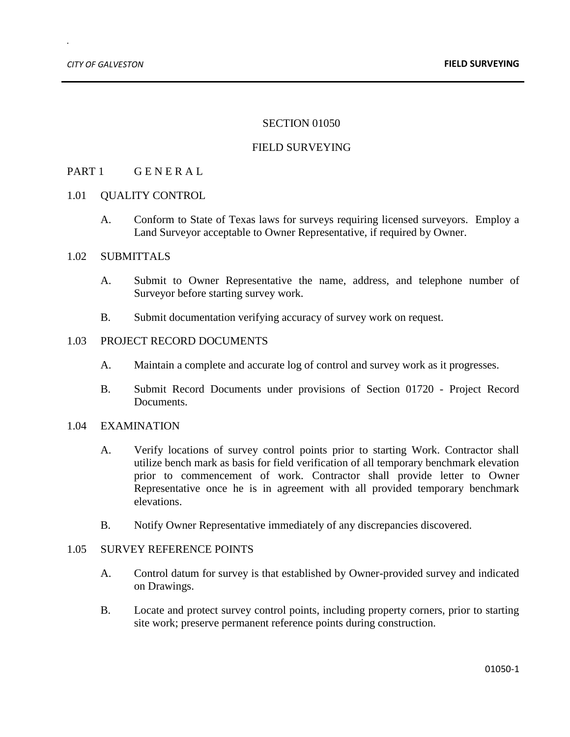*.*

#### SECTION 01050

## FIELD SURVEYING

# PART 1 GENERAL

#### 1.01 OUALITY CONTROL

A. Conform to State of Texas laws for surveys requiring licensed surveyors. Employ a Land Surveyor acceptable to Owner Representative, if required by Owner.

#### 1.02 SUBMITTALS

- A. Submit to Owner Representative the name, address, and telephone number of Surveyor before starting survey work.
- B. Submit documentation verifying accuracy of survey work on request.

## 1.03 PROJECT RECORD DOCUMENTS

- A. Maintain a complete and accurate log of control and survey work as it progresses.
- B. Submit Record Documents under provisions of Section 01720 Project Record Documents.

#### 1.04 EXAMINATION

- A. Verify locations of survey control points prior to starting Work. Contractor shall utilize bench mark as basis for field verification of all temporary benchmark elevation prior to commencement of work. Contractor shall provide letter to Owner Representative once he is in agreement with all provided temporary benchmark elevations.
- B. Notify Owner Representative immediately of any discrepancies discovered.

## 1.05 SURVEY REFERENCE POINTS

- A. Control datum for survey is that established by Owner-provided survey and indicated on Drawings.
- B. Locate and protect survey control points, including property corners, prior to starting site work; preserve permanent reference points during construction.